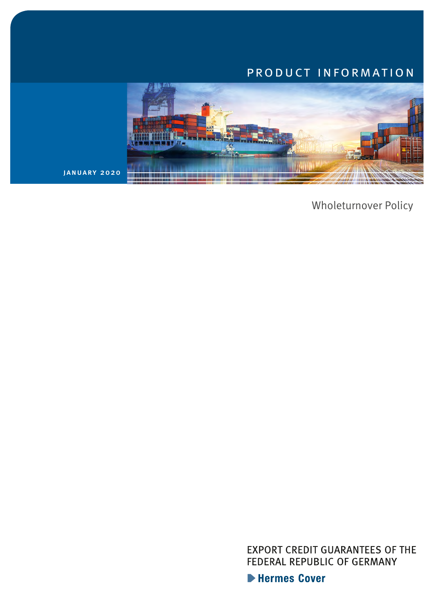# product information



january 2020

Wholeturnover Policy

**EXPORT CREDIT GUARANTEES OF THE** FEDERAL REPUBLIC OF GERMANY

Hermes Cover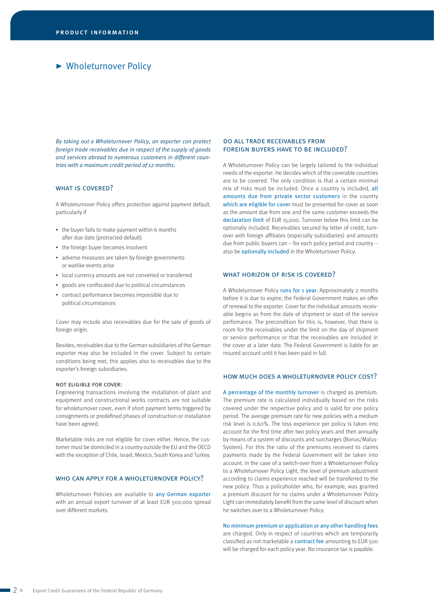# Wholeturnover Policy

*By taking out a Wholeturnover Policy, an exporter can protect foreign trade receivables due in respect of the supply of goods and services abroad to numerous customers in different countries with a maximum credit period of 12 months.*

# WHAT IS COVERED?

A Wholeturnover Policy offers protection against payment default, particularly if

- $\cdot$  the buver fails to make payment within 6 months after due date (protracted default)
- $\rightarrow$  the foreign buyer becomes insolvent
- $\rightarrow$  adverse measures are taken by foreign governments or warlike events arise
- @ local currency amounts are not converted or transferred
- $\rightarrow$  goods are confiscated due to political circumstances
- $\triangleright$  contract performance becomes impossible due to political circumstances

Cover may include also receivables due for the sale of goods of foreign origin.

Besides, receivables due to the German subsidiaries of the German exporter may also be included in the cover. Subject to certain conditions being met, this applies also to receivables due to the exporter's foreign subsidiaries.

#### not eligible for cover:

Engineering transactions involving the installation of plant and equipment and constructional works contracts are not suitable for wholeturnover cover, even if short payment terms triggered by consignments or predefined phases of construction or installation have been agreed.

Marketable risks are not eligible for cover either. Hence, the customer must be domiciled in a country outside the EU and the OECD with the exception of Chile, Israel, Mexico, South Korea and Turkey.

#### WHO CAN APPLY FOR A WHOLFTURNOVER POLICY?

Wholeturnover Policies are available to any German exporter with an annual export turnover of at least EUR 500,000 spread over different markets.

#### do all trade receivables from foreign buyers have to be included?

A Wholeturnover Policy can be largely tailored to the individual needs of the exporter. He decides which of the coverable countries are to be covered. The only condition is that a certain minimal mix of risks must be included. Once a country is included, all amounts due from private sector customers in the country which are eligible for cover must be presented for cover as soon as the amount due from one and the same customer exceeds the declaration limit of EUR 15,000. Turnover below this limit can be optionally included. Receivables secured by letter of credit, turnover with foreign affiliates (especially subsidiaries) and amounts due from public buyers can – for each policy period and country – also be optionally included in the Wholeturnover Policy.

### WHAT HORIZON OF RISK IS COVERED?

A Wholeturnover Policy runs for 1 year. Approximately 2 months before it is due to expire, the Federal Government makes an offer of renewal to the exporter. Cover for the individual amounts receivable begins as from the date of shipment or start of the service perfomance. The precondition for this is, however, that there is room for the receivables under the limit on the day of shipment or service performance or that the receivables are included in the cover at a later date. The Federal Government is liable for an insured account until it has been paid in full.

#### how much does a wholeturnover policy cost?

A percentage of the monthly turnover is charged as premium. The premium rate is calculated individually based on the risks covered under the respective policy and is valid for one policy period. The average premium rate for new policies with a medium risk level is 0.60%. The loss experience per policy is taken into account for the first time after two policy years and then annually by means of a system of discounts and surcharges (Bonus/Malus--System). For this the ratio of the premiums received to claims payments made by the Federal Government will be taken into account. In the case of a switch-over from a Wholeturnover Policy to a Wholeturnover Policy Light, the level of premium adjustment according to claims experience reached will be transferred to the new policy. Thus a policyholder who, for example, was granted a premium discount for no claims under a Wholeturnover Policy Light can immediately benefit from the same level of discount when he switches over to a Wholeturnover Policy.

No minimum premium or application or any other handling fees are charged. Only in respect of countries which are temporarily classified as not marketable a contract fee amounting to EUR 500 will be charged for each policy year. No insurance tax is payable.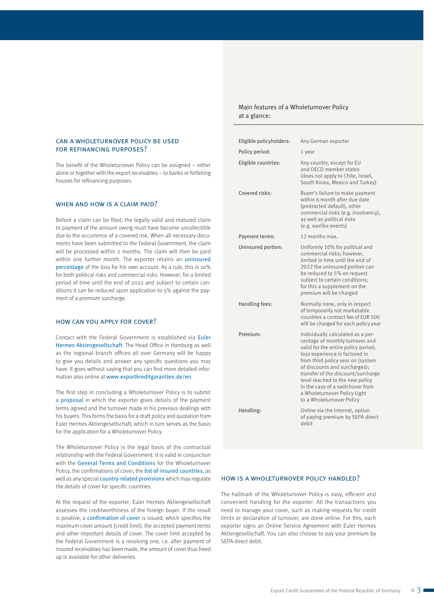## can a wholeturnover policy be used for refinancing purposes?

The benefit of the Wholeturnover Policy can be assigned – either alone or together with the export receivables – to banks or forfaiting houses for refinancing purposes.

### WHEN AND HOW IS A CLAIM PAID?

Before a claim can be filed, the legally valid and matured claim to payment of the amount owing must have become uncollectible due to the occurrence of a covered risk. When all necessary documents have been submitted to the Federal Government, the claim will be processed within 2 months. The claim will then be paid within one further month. The exporter retains an uninsured percentage of the loss for his own account. As a rule, this is 10% for both political risks and commercial risks. However, for a limited period of time until the end of 2022 and subject to certain conditions it can be reduced upon application to 5% against the payment of a premium surcharge.

#### how can you apply for cover?

Contact with the Federal Government is established via Euler Hermes Aktiengesellschaft. The Head Office in Hamburg as well as the regional branch offices all over Germany will be happy to give you details and answer any specific questions you may have. It goes without saying that you can find more detailed information also online at www.exportkreditgarantien.de/en.

The first step in concluding a Wholeturnover Policy is to submit a proposal in which the exporter gives details of the payment terms agreed and the turnover made in his previous dealings with his buyers. This forms the basis for a draft policy and quotation from Euler Hermes Aktiengesellschaft, which in turn serves as the basis for the application for a Wholeturnover Policy.

The Wholeturnover Policy is the legal basis of the contractual relationship with the Federal Government. It is valid in conjunction with the General Terms and Conditions for the Wholeturnover Policy, the confirmations of cover, the list of insured countries, as well as any special country-related provisions which may regulate the details of cover for specific countries.

At the request of the exporter, Euler Hermes Aktiengesellschaft assesses the creditworthiness of the foreign buyer. If the result is positive, a confirmation of cover is issued, which specifies the maximum cover amount (credit limit), the accepted payment terms and other important details of cover. The cover limit accepted by the Federal Government is a revolving one, i.e. after payment of insured receivables has been made, the amount of cover thus freed up is available for other deliveries.

# Main features of a Wholeturnover Policy at a glance:

| Eligible policyholders: | Any German exporter                                                                                                                                                                                                                                                                                                                                                                           |
|-------------------------|-----------------------------------------------------------------------------------------------------------------------------------------------------------------------------------------------------------------------------------------------------------------------------------------------------------------------------------------------------------------------------------------------|
| Policy period:          | 1 year                                                                                                                                                                                                                                                                                                                                                                                        |
| Eligible countries:     | Any country, except for EU<br>and OECD member states<br>(does not apply to Chile, Israel,<br>South Korea, Mexico and Turkey)                                                                                                                                                                                                                                                                  |
| Covered risks:          | Buyer's failure to make payment<br>within 6 month after due date<br>(protracted default), other<br>commercial risks (e.g. insolvency),<br>as well as political risks<br>(e.g. warlike events)                                                                                                                                                                                                 |
| Payment terms:          | 12 months max.                                                                                                                                                                                                                                                                                                                                                                                |
| Uninsured portion:      | Uniformly 10% for political and<br>commercial risks; however,<br>limited in time until the end of<br>2022 the uninsured portion can<br>be reduced to 5% on request<br>subiect to certain conditions:<br>for this a supplement on the<br>premium will be charged                                                                                                                               |
| Handling fees:          | Normally none, only in respect<br>of temporarily not marketable<br>countries a contract fee of EUR 500<br>will be charged for each policy year                                                                                                                                                                                                                                                |
| Premium:                | Individually calculated as a per-<br>centage of monthly turnover and<br>valid for the entire policy period;<br>loss experience is factored in<br>from third policy year on (system<br>of discounts and surcharges);<br>transfer of the discount/surcharge<br>level reached to the new policy<br>in the case of a switchover from<br>a Wholeturnover Policy Light<br>to a Wholeturnover Policy |
| Handling:               | Online via the Internet, option<br>of paying premium by SEPA direct<br>debit                                                                                                                                                                                                                                                                                                                  |

#### how is a wholeturnover policy handled?

The hallmark of the Wholeturnover Policy is easy, efficient and convenient handling for the exporter. All the transactions you need to manage your cover, such as making requests for credit limits or declaration of turnover, are done online. For this, each exporter signs an Online Service Agreement with Euler Hermes Aktiengesellschaft. You can also choose to pay your premium by SEPA direct debit.